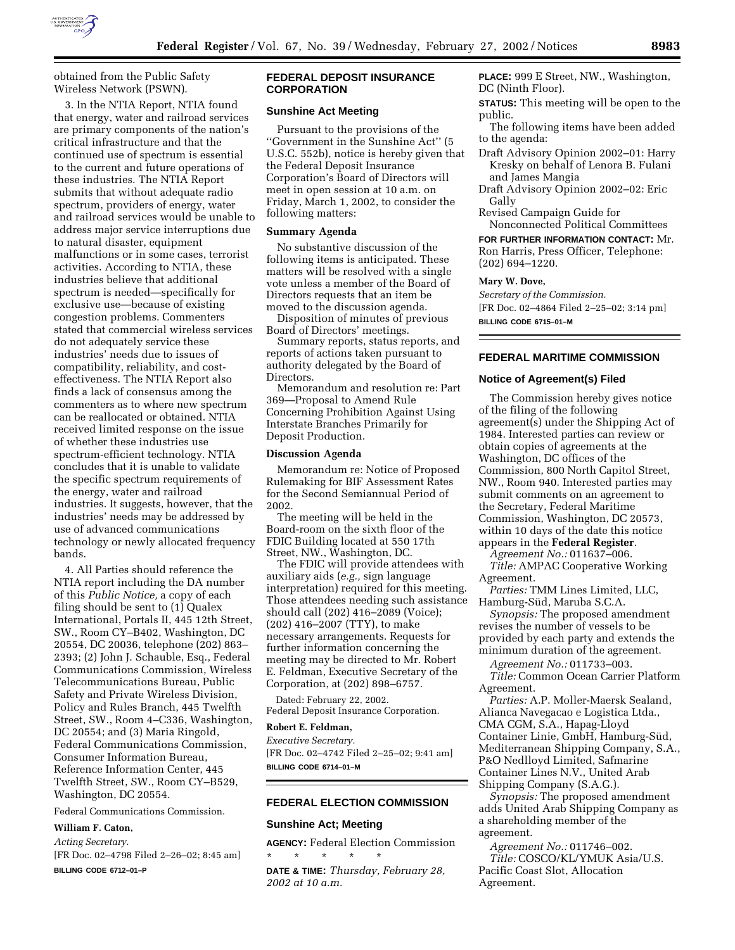

obtained from the Public Safety Wireless Network (PSWN).

3. In the NTIA Report, NTIA found that energy, water and railroad services are primary components of the nation's critical infrastructure and that the continued use of spectrum is essential to the current and future operations of these industries. The NTIA Report submits that without adequate radio spectrum, providers of energy, water and railroad services would be unable to address major service interruptions due to natural disaster, equipment malfunctions or in some cases, terrorist activities. According to NTIA, these industries believe that additional spectrum is needed—specifically for exclusive use—because of existing congestion problems. Commenters stated that commercial wireless services do not adequately service these industries' needs due to issues of compatibility, reliability, and costeffectiveness. The NTIA Report also finds a lack of consensus among the commenters as to where new spectrum can be reallocated or obtained. NTIA received limited response on the issue of whether these industries use spectrum-efficient technology. NTIA concludes that it is unable to validate the specific spectrum requirements of the energy, water and railroad industries. It suggests, however, that the industries' needs may be addressed by use of advanced communications technology or newly allocated frequency bands.

4. All Parties should reference the NTIA report including the DA number of this *Public Notice,* a copy of each filing should be sent to (1) Qualex International, Portals II, 445 12th Street, SW., Room CY–B402, Washington, DC 20554, DC 20036, telephone (202) 863– 2393; (2) John J. Schauble, Esq., Federal Communications Commission, Wireless Telecommunications Bureau, Public Safety and Private Wireless Division, Policy and Rules Branch, 445 Twelfth Street, SW., Room 4–C336, Washington, DC 20554; and (3) Maria Ringold, Federal Communications Commission, Consumer Information Bureau, Reference Information Center, 445 Twelfth Street, SW., Room CY–B529, Washington, DC 20554.

Federal Communications Commission.

#### **William F. Caton,**

*Acting Secretary.*

[FR Doc. 02–4798 Filed 2–26–02; 8:45 am] **BILLING CODE 6712–01–P**

# **FEDERAL DEPOSIT INSURANCE CORPORATION**

## **Sunshine Act Meeting**

Pursuant to the provisions of the ''Government in the Sunshine Act'' (5 U.S.C. 552b), notice is hereby given that the Federal Deposit Insurance Corporation's Board of Directors will meet in open session at 10 a.m. on Friday, March 1, 2002, to consider the following matters:

### **Summary Agenda**

No substantive discussion of the following items is anticipated. These matters will be resolved with a single vote unless a member of the Board of Directors requests that an item be moved to the discussion agenda.

Disposition of minutes of previous Board of Directors' meetings.

Summary reports, status reports, and reports of actions taken pursuant to authority delegated by the Board of Directors.

Memorandum and resolution re: Part 369—Proposal to Amend Rule Concerning Prohibition Against Using Interstate Branches Primarily for Deposit Production.

#### **Discussion Agenda**

Memorandum re: Notice of Proposed Rulemaking for BIF Assessment Rates for the Second Semiannual Period of 2002.

The meeting will be held in the Board-room on the sixth floor of the FDIC Building located at 550 17th Street, NW., Washington, DC.

The FDIC will provide attendees with auxiliary aids (*e.g.,* sign language interpretation) required for this meeting. Those attendees needing such assistance should call (202) 416–2089 (Voice); (202) 416–2007 (TTY), to make necessary arrangements. Requests for further information concerning the meeting may be directed to Mr. Robert E. Feldman, Executive Secretary of the Corporation, at (202) 898–6757.

Dated: February 22, 2002. Federal Deposit Insurance Corporation.

#### **Robert E. Feldman,**

*Executive Secretary.* [FR Doc. 02–4742 Filed 2–25–02; 9:41 am] **BILLING CODE 6714–01–M**

### **FEDERAL ELECTION COMMISSION**

#### **Sunshine Act; Meeting**

**AGENCY:** Federal Election Commission \* \* \* \* \*

**DATE & TIME:** *Thursday, February 28, 2002 at 10 a.m.*

**PLACE:** 999 E Street, NW., Washington, DC (Ninth Floor).

**STATUS:** This meeting will be open to the public.

The following items have been added to the agenda:

- Draft Advisory Opinion 2002–01: Harry Kresky on behalf of Lenora B. Fulani and James Mangia
- Draft Advisory Opinion 2002–02: Eric Gally

Revised Campaign Guide for Nonconnected Political Committees

**FOR FURTHER INFORMATION CONTACT:** Mr. Ron Harris, Press Officer, Telephone: (202) 694–1220.

## **Mary W. Dove,**

*Secretary of the Commission.* [FR Doc. 02–4864 Filed 2–25–02; 3:14 pm] **BILLING CODE 6715–01–M**

# **FEDERAL MARITIME COMMISSION**

### **Notice of Agreement(s) Filed**

The Commission hereby gives notice of the filing of the following agreement(s) under the Shipping Act of 1984. Interested parties can review or obtain copies of agreements at the Washington, DC offices of the Commission, 800 North Capitol Street, NW., Room 940. Interested parties may submit comments on an agreement to the Secretary, Federal Maritime Commission, Washington, DC 20573, within 10 days of the date this notice appears in the **Federal Register**.

*Agreement No.:* 011637–006. *Title:* AMPAC Cooperative Working Agreement.

*Parties:* TMM Lines Limited, LLC, Hamburg-Süd, Maruba S.C.A.

*Synopsis:* The proposed amendment revises the number of vessels to be provided by each party and extends the minimum duration of the agreement.

*Agreement No.:* 011733–003. *Title:* Common Ocean Carrier Platform Agreement.

*Parties:* A.P. Moller-Maersk Sealand, Alianca Navegacao e Logistica Ltda., CMA CGM, S.A., Hapag-Lloyd Container Linie, GmbH, Hamburg-Süd, Mediterranean Shipping Company, S.A., P&O Nedlloyd Limited, Safmarine Container Lines N.V., United Arab Shipping Company (S.A.G.).

*Synopsis:* The proposed amendment adds United Arab Shipping Company as a shareholding member of the agreement.

*Agreement No.:* 011746–002. *Title:* COSCO/KL/YMUK Asia/U.S. Pacific Coast Slot, Allocation Agreement.